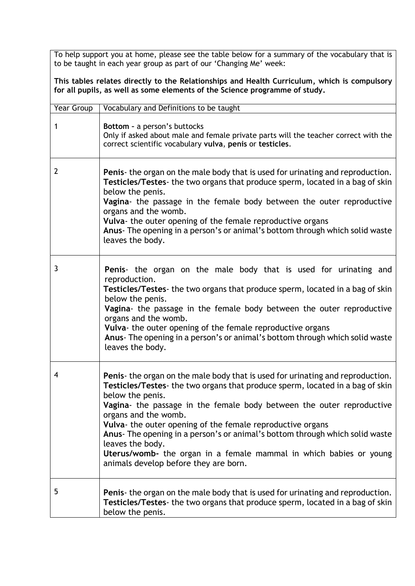To help support you at home, please see the table below for a summary of the vocabulary that is to be taught in each year group as part of our 'Changing Me' week:

**This tables relates directly to the Relationships and Health Curriculum, which is compulsory for all pupils, as well as some elements of the Science programme of study.**

| <b>Year Group</b> | Vocabulary and Definitions to be taught                                                                                                                                                                                                                                                                                                                                                                                                                                                                                                                               |
|-------------------|-----------------------------------------------------------------------------------------------------------------------------------------------------------------------------------------------------------------------------------------------------------------------------------------------------------------------------------------------------------------------------------------------------------------------------------------------------------------------------------------------------------------------------------------------------------------------|
| 1                 | Bottom - a person's buttocks<br>Only if asked about male and female private parts will the teacher correct with the<br>correct scientific vocabulary vulva, penis or testicles.                                                                                                                                                                                                                                                                                                                                                                                       |
| 2                 | <b>Penis-</b> the organ on the male body that is used for urinating and reproduction.<br>Testicles/Testes- the two organs that produce sperm, located in a bag of skin<br>below the penis.<br>Vagina- the passage in the female body between the outer reproductive<br>organs and the womb.<br>Vulva- the outer opening of the female reproductive organs<br>Anus- The opening in a person's or animal's bottom through which solid waste<br>leaves the body.                                                                                                         |
| 3                 | Penis- the organ on the male body that is used for urinating and<br>reproduction.<br>Testicles/Testes- the two organs that produce sperm, located in a bag of skin<br>below the penis.<br>Vagina- the passage in the female body between the outer reproductive<br>organs and the womb.<br>Vulva- the outer opening of the female reproductive organs<br>Anus- The opening in a person's or animal's bottom through which solid waste<br>leaves the body.                                                                                                             |
| 4                 | Penis- the organ on the male body that is used for urinating and reproduction.<br>Testicles/Testes- the two organs that produce sperm, located in a bag of skin<br>below the penis.<br>Vagina- the passage in the female body between the outer reproductive<br>organs and the womb.<br>Vulva- the outer opening of the female reproductive organs<br>Anus- The opening in a person's or animal's bottom through which solid waste<br>leaves the body.<br>Uterus/womb- the organ in a female mammal in which babies or young<br>animals develop before they are born. |
| 5                 | Penis- the organ on the male body that is used for urinating and reproduction.<br>Testicles/Testes- the two organs that produce sperm, located in a bag of skin<br>below the penis.                                                                                                                                                                                                                                                                                                                                                                                   |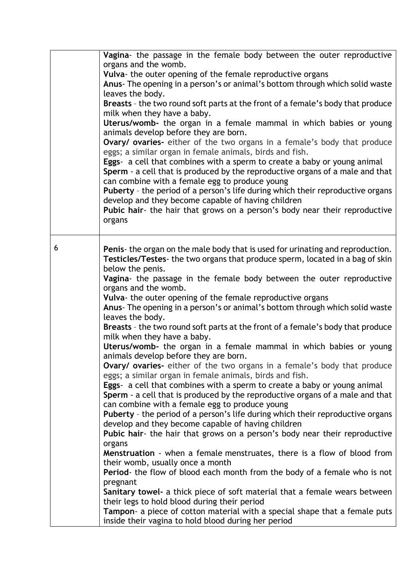|   | Vagina- the passage in the female body between the outer reproductive<br>organs and the womb.<br>Vulva- the outer opening of the female reproductive organs<br>Anus- The opening in a person's or animal's bottom through which solid waste<br>leaves the body.<br>Breasts - the two round soft parts at the front of a female's body that produce<br>milk when they have a baby.<br>Uterus/womb- the organ in a female mammal in which babies or young<br>animals develop before they are born.<br>Ovary/ ovaries- either of the two organs in a female's body that produce<br>eggs; a similar organ in female animals, birds and fish.<br>Eggs- a cell that combines with a sperm to create a baby or young animal<br>Sperm - a cell that is produced by the reproductive organs of a male and that<br>can combine with a female egg to produce young<br>Puberty - the period of a person's life during which their reproductive organs<br>develop and they become capable of having children<br>Pubic hair- the hair that grows on a person's body near their reproductive<br>organs                                                                                                                                                                                                                                                                                                                                                                                                                                                                                                                                                                                                                                                                                 |
|---|-------------------------------------------------------------------------------------------------------------------------------------------------------------------------------------------------------------------------------------------------------------------------------------------------------------------------------------------------------------------------------------------------------------------------------------------------------------------------------------------------------------------------------------------------------------------------------------------------------------------------------------------------------------------------------------------------------------------------------------------------------------------------------------------------------------------------------------------------------------------------------------------------------------------------------------------------------------------------------------------------------------------------------------------------------------------------------------------------------------------------------------------------------------------------------------------------------------------------------------------------------------------------------------------------------------------------------------------------------------------------------------------------------------------------------------------------------------------------------------------------------------------------------------------------------------------------------------------------------------------------------------------------------------------------------------------------------------------------------------------------------------------------|
| 6 | Penis- the organ on the male body that is used for urinating and reproduction.<br>Testicles/Testes- the two organs that produce sperm, located in a bag of skin<br>below the penis.<br>Vagina- the passage in the female body between the outer reproductive<br>organs and the womb.<br>Vulva- the outer opening of the female reproductive organs<br>Anus- The opening in a person's or animal's bottom through which solid waste<br>leaves the body.<br>Breasts - the two round soft parts at the front of a female's body that produce<br>milk when they have a baby.<br>Uterus/womb- the organ in a female mammal in which babies or young<br>animals develop before they are born.<br><b>Ovary/ ovaries-</b> either of the two organs in a female's body that produce<br>eggs; a similar organ in female animals, birds and fish.<br>Eggs- a cell that combines with a sperm to create a baby or young animal<br>Sperm - a cell that is produced by the reproductive organs of a male and that<br>can combine with a female egg to produce young<br><b>Puberty</b> - the period of a person's life during which their reproductive organs<br>develop and they become capable of having children<br>Pubic hair- the hair that grows on a person's body near their reproductive<br>organs<br>Menstruation - when a female menstruates, there is a flow of blood from<br>their womb, usually once a month<br>Period- the flow of blood each month from the body of a female who is not<br>pregnant<br>Sanitary towel- a thick piece of soft material that a female wears between<br>their legs to hold blood during their period<br>Tampon- a piece of cotton material with a special shape that a female puts<br>inside their vagina to hold blood during her period |